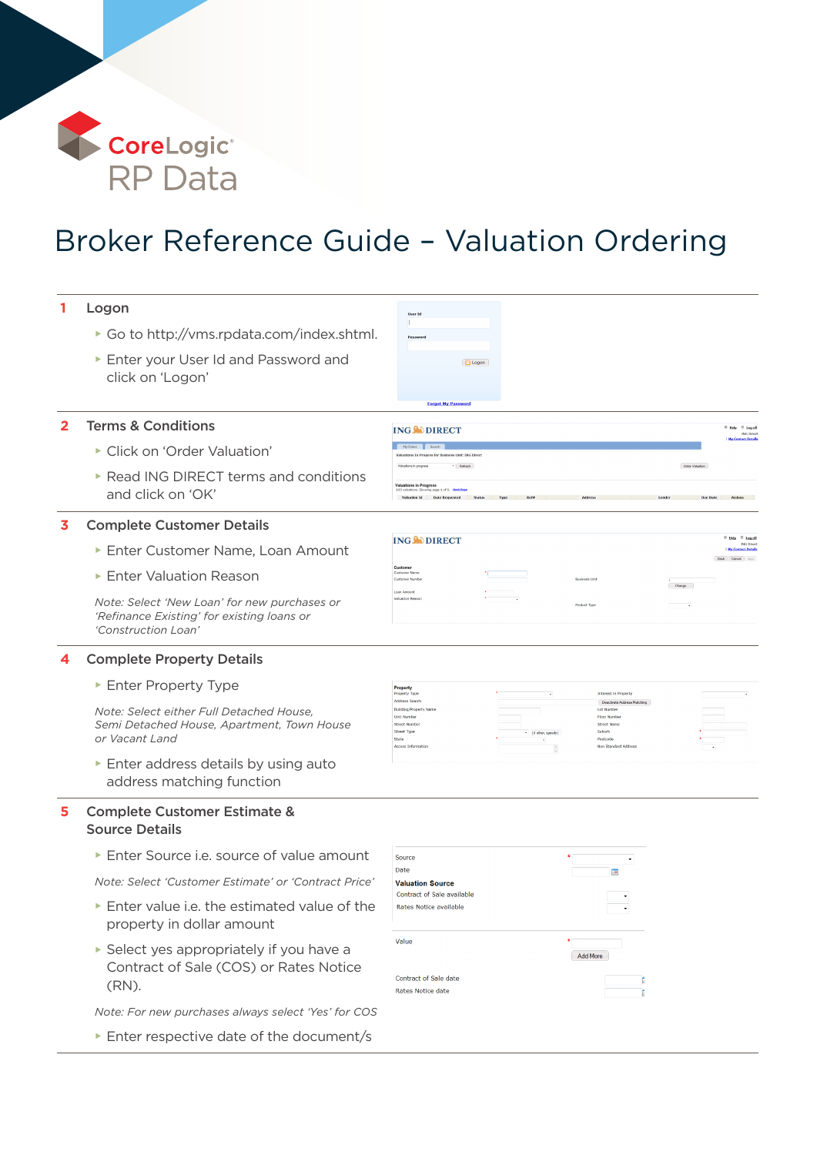

## Broker Reference Guide – Valuation Ordering

| 1              | Logon                                                                                                             | <b>User Io</b>                                                                                                                                         |                       |                                                                                                                                             |                                                                                                             |  |  |  |  |
|----------------|-------------------------------------------------------------------------------------------------------------------|--------------------------------------------------------------------------------------------------------------------------------------------------------|-----------------------|---------------------------------------------------------------------------------------------------------------------------------------------|-------------------------------------------------------------------------------------------------------------|--|--|--|--|
|                | ► Go to http://vms.rpdata.com/index.shtml.                                                                        | Passwo                                                                                                                                                 |                       |                                                                                                                                             |                                                                                                             |  |  |  |  |
|                | Enter your User Id and Password and<br>click on 'Logon'                                                           | <b>D</b> Logon                                                                                                                                         |                       |                                                                                                                                             |                                                                                                             |  |  |  |  |
|                |                                                                                                                   | <b>Forgot My Passwon</b>                                                                                                                               |                       |                                                                                                                                             |                                                                                                             |  |  |  |  |
| $\overline{2}$ | <b>Terms &amp; Conditions</b>                                                                                     | <b>ING CODIRECT</b>                                                                                                                                    |                       |                                                                                                                                             | <sup>B</sup> Help <sup>C</sup> Log off<br><b>ING Direct</b>                                                 |  |  |  |  |
|                | Click on 'Order Valuation'                                                                                        | In Progess for Business Unit: ING Direc                                                                                                                |                       |                                                                                                                                             | My Contact Details                                                                                          |  |  |  |  |
|                | ▶ Read ING DIRECT terms and conditions<br>and click on 'OK'                                                       | - Refresh<br><b>Valuations in Progress</b><br>g page 1 of 9. Heat Pass<br>Valuation Id Date Requested                                                  |                       |                                                                                                                                             | Order Valuation                                                                                             |  |  |  |  |
| 3              | <b>Complete Customer Details</b>                                                                                  |                                                                                                                                                        |                       |                                                                                                                                             |                                                                                                             |  |  |  |  |
|                | Enter Customer Name, Loan Amount                                                                                  | <b>ING NO DIRECT</b>                                                                                                                                   |                       |                                                                                                                                             | <sup>B</sup> Help <sup>B</sup> Log.off<br><b>ING Direct</b><br><b>My Contact Detail</b><br>Back Cancel Next |  |  |  |  |
|                | Enter Valuation Reason                                                                                            | Custome<br><b>Customer Nar</b><br><b>Customer Numbe</b><br>Loan Amount                                                                                 |                       | <b>Business Unit</b>                                                                                                                        | Change                                                                                                      |  |  |  |  |
|                | Note: Select 'New Loan' for new purchases or<br>'Refinance Existing' for existing loans or<br>'Construction Loan' | <b>Valuation Rea</b>                                                                                                                                   | Product Type          |                                                                                                                                             |                                                                                                             |  |  |  |  |
|                | <b>Complete Property Details</b>                                                                                  |                                                                                                                                                        |                       |                                                                                                                                             |                                                                                                             |  |  |  |  |
|                | Enter Property Type                                                                                               | Property<br>Property Type                                                                                                                              |                       | Interest in Property                                                                                                                        |                                                                                                             |  |  |  |  |
|                | Note: Select either Full Detached House,<br>Semi Detached House, Apartment, Town House<br>or Vacant Land          | <b>Address Search</b><br>Building/Property Na<br><b>Unit Number</b><br><b>Street Numbe</b><br><b>Street Type</b><br>State<br><b>Access Information</b> | * [if other, specify] | Deactivate Address Matching<br><b>Lot Number</b><br><b>Floor Number</b><br><b>Street Name</b><br>Suburb<br>Postcode<br>Non Standard Address |                                                                                                             |  |  |  |  |
|                | Enter address details by using auto<br>address matching function                                                  |                                                                                                                                                        |                       |                                                                                                                                             |                                                                                                             |  |  |  |  |
| 5              | <b>Complete Customer Estimate &amp;</b><br><b>Source Details</b>                                                  |                                                                                                                                                        |                       |                                                                                                                                             |                                                                                                             |  |  |  |  |
|                | Enter Source i.e. source of value amount                                                                          | Source                                                                                                                                                 |                       |                                                                                                                                             |                                                                                                             |  |  |  |  |
|                | Note: Select 'Customer Estimate' or 'Contract Price'                                                              | Date<br><b>Valuation Source</b>                                                                                                                        |                       | $\frac{1}{2}$                                                                                                                               |                                                                                                             |  |  |  |  |
|                | Enter value i.e. the estimated value of the<br>Þ<br>property in dollar amount                                     | Contract of Sale available<br>Rates Notice available                                                                                                   |                       |                                                                                                                                             |                                                                                                             |  |  |  |  |
|                | Select yes appropriately if you have a<br>Contract of Sale (COS) or Rates Notice<br>(RN).                         | Value<br>Contract of Sale date<br>Rates Notice date                                                                                                    |                       | <b>Add More</b><br>Е<br>b                                                                                                                   |                                                                                                             |  |  |  |  |
|                | Note: For new purchases always select 'Yes' for COS                                                               |                                                                                                                                                        |                       |                                                                                                                                             |                                                                                                             |  |  |  |  |
|                | Enter respective date of the document/s                                                                           |                                                                                                                                                        |                       |                                                                                                                                             |                                                                                                             |  |  |  |  |